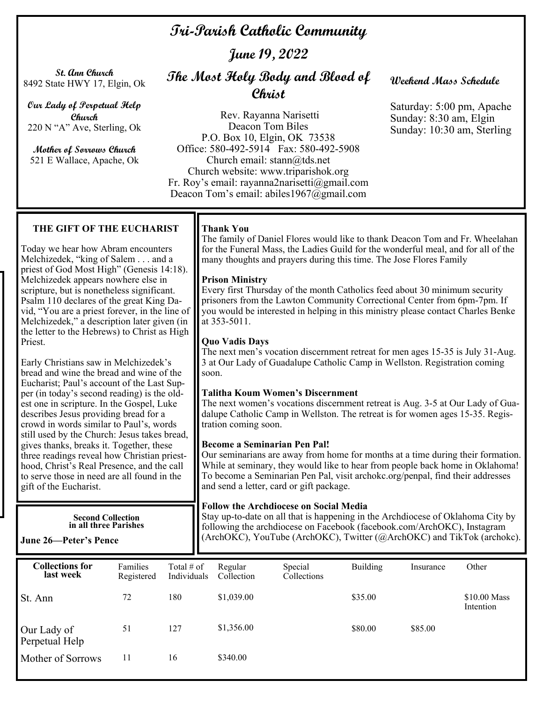# **Tri-Parish Catholic Community**

**June 19, 2022** 

**St. Ann Church**  8492 State HWY 17, Elgin, Ok

**Our Lady of Perpetual Help Church**  220 N "A" Ave, Sterling, Ok

**Mother of Sorrows Church**  521 E Wallace, Apache, Ok

# **The Most Holy Body and Blood of Christ**

Rev. Rayanna Narisetti Deacon Tom Biles P.O. Box 10, Elgin, OK 73538 Office: 580-492-5914 Fax: 580-492-5908 Church email: stann@tds.net Church website: www.triparishok.org Fr. Roy's email: rayanna2narisetti@gmail.com Deacon Tom's email: abiles1967@gmail.com

# **Weekend Mass Schedule**

Saturday: 5:00 pm, Apache Sunday: 8:30 am, Elgin Sunday: 10:30 am, Sterling

## **THE GIFT OF THE EUCHARIST**

Today we hear how Abram encounters Melchizedek, "king of Salem . . . and a priest of God Most High" (Genesis 14:18). Melchizedek appears nowhere else in scripture, but is nonetheless significant. Psalm 110 declares of the great King David, "You are a priest forever, in the line of Melchizedek," a description later given (in the letter to the Hebrews) to Christ as High Priest.

Early Christians saw in Melchizedek's bread and wine the bread and wine of the Eucharist; Paul's account of the Last Supper (in today's second reading) is the oldest one in scripture. In the Gospel, Luke describes Jesus providing bread for a crowd in words similar to Paul's, words still used by the Church: Jesus takes bread, gives thanks, breaks it. Together, these three readings reveal how Christian priesthood, Christ's Real Presence, and the call to serve those in need are all found in the gift of the Eucharist.

> **Second Collection in all three Parishes**

# **June 26—Peter's Pence**

# **Thank You**

The family of Daniel Flores would like to thank Deacon Tom and Fr. Wheelahan for the Funeral Mass, the Ladies Guild for the wonderful meal, and for all of the many thoughts and prayers during this time. The Jose Flores Family

#### **Prison Ministry**

Every first Thursday of the month Catholics feed about 30 minimum security prisoners from the Lawton Community Correctional Center from 6pm-7pm. If you would be interested in helping in this ministry please contact Charles Benke at 353-5011.

## **Quo Vadis Days**

The next men's vocation discernment retreat for men ages 15-35 is July 31-Aug. 3 at Our Lady of Guadalupe Catholic Camp in Wellston. Registration coming soon.

#### **Talitha Koum Women's Discernment**

The next women's vocations discernment retreat is Aug. 3-5 at Our Lady of Guadalupe Catholic Camp in Wellston. The retreat is for women ages 15-35. Registration coming soon.

#### **Become a Seminarian Pen Pal!**

Our seminarians are away from home for months at a time during their formation. While at seminary, they would like to hear from people back home in Oklahoma! To become a Seminarian Pen Pal, visit archokc.org/penpal, find their addresses and send a letter, card or gift package.

#### **Follow the Archdiocese on Social Media**

Stay up-to-date on all that is happening in the Archdiocese of Oklahoma City by following the archdiocese on Facebook (facebook.com/ArchOKC), Instagram (ArchOKC), YouTube (ArchOKC), Twitter (@ArchOKC) and TikTok (archokc).

| <b>Collections for</b><br>last week | Families<br>Registered | Total $#$ of<br>Individuals | Regular<br>Collection | Special<br>Collections | <b>Building</b> | Insurance | Other                     |
|-------------------------------------|------------------------|-----------------------------|-----------------------|------------------------|-----------------|-----------|---------------------------|
| St. Ann                             | 72                     | 180                         | \$1,039.00            |                        | \$35.00         |           | \$10.00 Mass<br>Intention |
| Our Lady of<br>Perpetual Help       | 51                     | 127                         | \$1,356.00            |                        | \$80.00         | \$85.00   |                           |
| Mother of Sorrows                   | 11                     | 16                          | \$340.00              |                        |                 |           |                           |